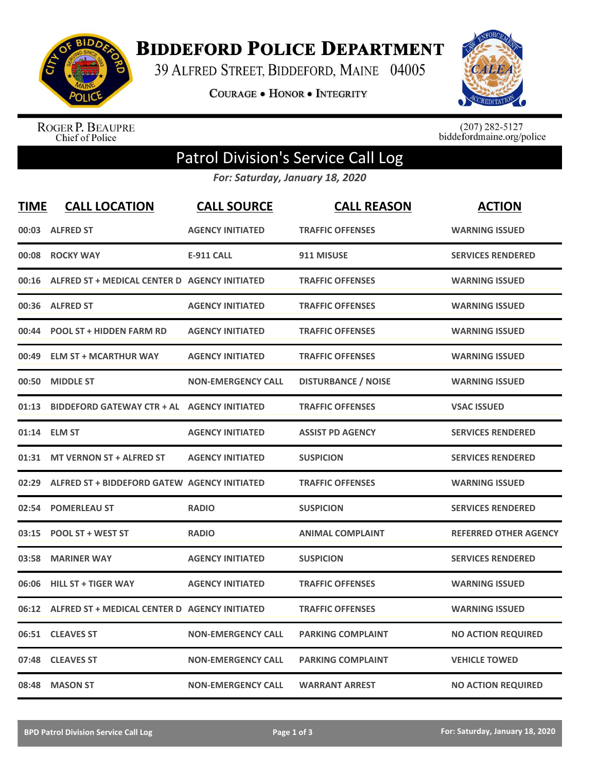

**BIDDEFORD POLICE DEPARTMENT** 

39 ALFRED STREET, BIDDEFORD, MAINE 04005

**COURAGE . HONOR . INTEGRITY** 



ROGER P. BEAUPRE<br>Chief of Police

 $(207)$  282-5127<br>biddefordmaine.org/police

## Patrol Division's Service Call Log

*For: Saturday, January 18, 2020*

| <b>TIME</b> | <b>CALL LOCATION</b>                          | <b>CALL SOURCE</b>        | <b>CALL REASON</b>         | <b>ACTION</b>                |
|-------------|-----------------------------------------------|---------------------------|----------------------------|------------------------------|
|             | 00:03 ALFRED ST                               | <b>AGENCY INITIATED</b>   | <b>TRAFFIC OFFENSES</b>    | <b>WARNING ISSUED</b>        |
| 00:08       | <b>ROCKY WAY</b>                              | <b>E-911 CALL</b>         | 911 MISUSE                 | <b>SERVICES RENDERED</b>     |
| 00:16       | ALFRED ST + MEDICAL CENTER D AGENCY INITIATED |                           | <b>TRAFFIC OFFENSES</b>    | <b>WARNING ISSUED</b>        |
| 00:36       | <b>ALFRED ST</b>                              | <b>AGENCY INITIATED</b>   | <b>TRAFFIC OFFENSES</b>    | <b>WARNING ISSUED</b>        |
| 00:44       | <b>POOL ST + HIDDEN FARM RD</b>               | <b>AGENCY INITIATED</b>   | <b>TRAFFIC OFFENSES</b>    | <b>WARNING ISSUED</b>        |
| 00:49       | <b>ELM ST + MCARTHUR WAY</b>                  | <b>AGENCY INITIATED</b>   | <b>TRAFFIC OFFENSES</b>    | <b>WARNING ISSUED</b>        |
| 00:50       | <b>MIDDLE ST</b>                              | <b>NON-EMERGENCY CALL</b> | <b>DISTURBANCE / NOISE</b> | <b>WARNING ISSUED</b>        |
| 01:13       | <b>BIDDEFORD GATEWAY CTR + AL</b>             | <b>AGENCY INITIATED</b>   | <b>TRAFFIC OFFENSES</b>    | <b>VSAC ISSUED</b>           |
| 01:14       | <b>ELM ST</b>                                 | <b>AGENCY INITIATED</b>   | <b>ASSIST PD AGENCY</b>    | <b>SERVICES RENDERED</b>     |
| 01:31       | <b>MT VERNON ST + ALFRED ST</b>               | <b>AGENCY INITIATED</b>   | <b>SUSPICION</b>           | <b>SERVICES RENDERED</b>     |
| 02:29       | ALFRED ST + BIDDEFORD GATEW AGENCY INITIATED  |                           | <b>TRAFFIC OFFENSES</b>    | <b>WARNING ISSUED</b>        |
| 02:54       | <b>POMERLEAU ST</b>                           | <b>RADIO</b>              | <b>SUSPICION</b>           | <b>SERVICES RENDERED</b>     |
| 03:15       | <b>POOL ST + WEST ST</b>                      | <b>RADIO</b>              | <b>ANIMAL COMPLAINT</b>    | <b>REFERRED OTHER AGENCY</b> |
| 03:58       | <b>MARINER WAY</b>                            | <b>AGENCY INITIATED</b>   | <b>SUSPICION</b>           | <b>SERVICES RENDERED</b>     |
| 06:06       | <b>HILL ST + TIGER WAY</b>                    | <b>AGENCY INITIATED</b>   | <b>TRAFFIC OFFENSES</b>    | <b>WARNING ISSUED</b>        |
| 06:12       | ALFRED ST + MEDICAL CENTER D AGENCY INITIATED |                           | <b>TRAFFIC OFFENSES</b>    | <b>WARNING ISSUED</b>        |
| 06:51       | <b>CLEAVES ST</b>                             | <b>NON-EMERGENCY CALL</b> | <b>PARKING COMPLAINT</b>   | <b>NO ACTION REQUIRED</b>    |
| 07:48       | <b>CLEAVES ST</b>                             | <b>NON-EMERGENCY CALL</b> | <b>PARKING COMPLAINT</b>   | <b>VEHICLE TOWED</b>         |
| 08:48       | <b>MASON ST</b>                               | <b>NON-EMERGENCY CALL</b> | <b>WARRANT ARREST</b>      | <b>NO ACTION REQUIRED</b>    |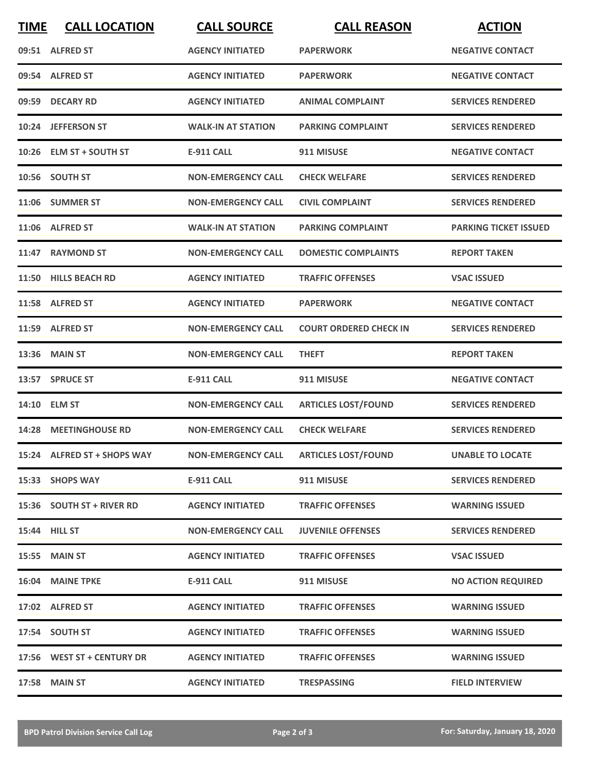| <b>TIME</b> | <b>CALL LOCATION</b>        | <b>CALL SOURCE</b>        | <b>CALL REASON</b>                     | <b>ACTION</b>                |
|-------------|-----------------------------|---------------------------|----------------------------------------|------------------------------|
|             | 09:51 ALFRED ST             | <b>AGENCY INITIATED</b>   | <b>PAPERWORK</b>                       | <b>NEGATIVE CONTACT</b>      |
|             | 09:54 ALFRED ST             | <b>AGENCY INITIATED</b>   | <b>PAPERWORK</b>                       | <b>NEGATIVE CONTACT</b>      |
|             | 09:59 DECARY RD             | <b>AGENCY INITIATED</b>   | <b>ANIMAL COMPLAINT</b>                | <b>SERVICES RENDERED</b>     |
|             | 10:24 JEFFERSON ST          | <b>WALK-IN AT STATION</b> | <b>PARKING COMPLAINT</b>               | <b>SERVICES RENDERED</b>     |
|             | 10:26 ELM ST + SOUTH ST     | <b>E-911 CALL</b>         | 911 MISUSE                             | <b>NEGATIVE CONTACT</b>      |
|             | 10:56 SOUTH ST              | <b>NON-EMERGENCY CALL</b> | <b>CHECK WELFARE</b>                   | <b>SERVICES RENDERED</b>     |
|             | 11:06 SUMMER ST             | <b>NON-EMERGENCY CALL</b> | <b>CIVIL COMPLAINT</b>                 | <b>SERVICES RENDERED</b>     |
|             | 11:06 ALFRED ST             | <b>WALK-IN AT STATION</b> | <b>PARKING COMPLAINT</b>               | <b>PARKING TICKET ISSUED</b> |
| 11:47       | <b>RAYMOND ST</b>           | <b>NON-EMERGENCY CALL</b> | <b>DOMESTIC COMPLAINTS</b>             | <b>REPORT TAKEN</b>          |
|             | 11:50 HILLS BEACH RD        | <b>AGENCY INITIATED</b>   | <b>TRAFFIC OFFENSES</b>                | <b>VSAC ISSUED</b>           |
|             | 11:58 ALFRED ST             | <b>AGENCY INITIATED</b>   | <b>PAPERWORK</b>                       | <b>NEGATIVE CONTACT</b>      |
|             | 11:59 ALFRED ST             | <b>NON-EMERGENCY CALL</b> | <b>COURT ORDERED CHECK IN</b>          | <b>SERVICES RENDERED</b>     |
| 13:36       | <b>MAIN ST</b>              | <b>NON-EMERGENCY CALL</b> | <b>THEFT</b>                           | <b>REPORT TAKEN</b>          |
|             | 13:57 SPRUCE ST             | <b>E-911 CALL</b>         | 911 MISUSE                             | <b>NEGATIVE CONTACT</b>      |
| 14:10       | <b>ELM ST</b>               | <b>NON-EMERGENCY CALL</b> | <b>ARTICLES LOST/FOUND</b>             | <b>SERVICES RENDERED</b>     |
|             | 14:28 MEETINGHOUSE RD       | <b>NON-EMERGENCY CALL</b> | <b>CHECK WELFARE</b>                   | <b>SERVICES RENDERED</b>     |
|             | 15:24 ALFRED ST + SHOPS WAY |                           | NON-EMERGENCY CALL ARTICLES LOST/FOUND | <b>UNABLE TO LOCATE</b>      |
|             | 15:33 SHOPS WAY             | <b>E-911 CALL</b>         | 911 MISUSE                             | <b>SERVICES RENDERED</b>     |
|             | 15:36 SOUTH ST + RIVER RD   | <b>AGENCY INITIATED</b>   | <b>TRAFFIC OFFENSES</b>                | <b>WARNING ISSUED</b>        |
|             | 15:44 HILL ST               | <b>NON-EMERGENCY CALL</b> | <b>JUVENILE OFFENSES</b>               | <b>SERVICES RENDERED</b>     |
|             | <b>15:55 MAIN ST</b>        | <b>AGENCY INITIATED</b>   | <b>TRAFFIC OFFENSES</b>                | <b>VSAC ISSUED</b>           |
|             | <b>16:04 MAINE TPKE</b>     | E-911 CALL                | 911 MISUSE                             | <b>NO ACTION REQUIRED</b>    |
|             | 17:02 ALFRED ST             | <b>AGENCY INITIATED</b>   | <b>TRAFFIC OFFENSES</b>                | <b>WARNING ISSUED</b>        |
|             | 17:54 SOUTH ST              | <b>AGENCY INITIATED</b>   | <b>TRAFFIC OFFENSES</b>                | <b>WARNING ISSUED</b>        |
|             | 17:56 WEST ST + CENTURY DR  | <b>AGENCY INITIATED</b>   | <b>TRAFFIC OFFENSES</b>                | <b>WARNING ISSUED</b>        |
|             | <b>17:58 MAIN ST</b>        | <b>AGENCY INITIATED</b>   | <b>TRESPASSING</b>                     | <b>FIELD INTERVIEW</b>       |